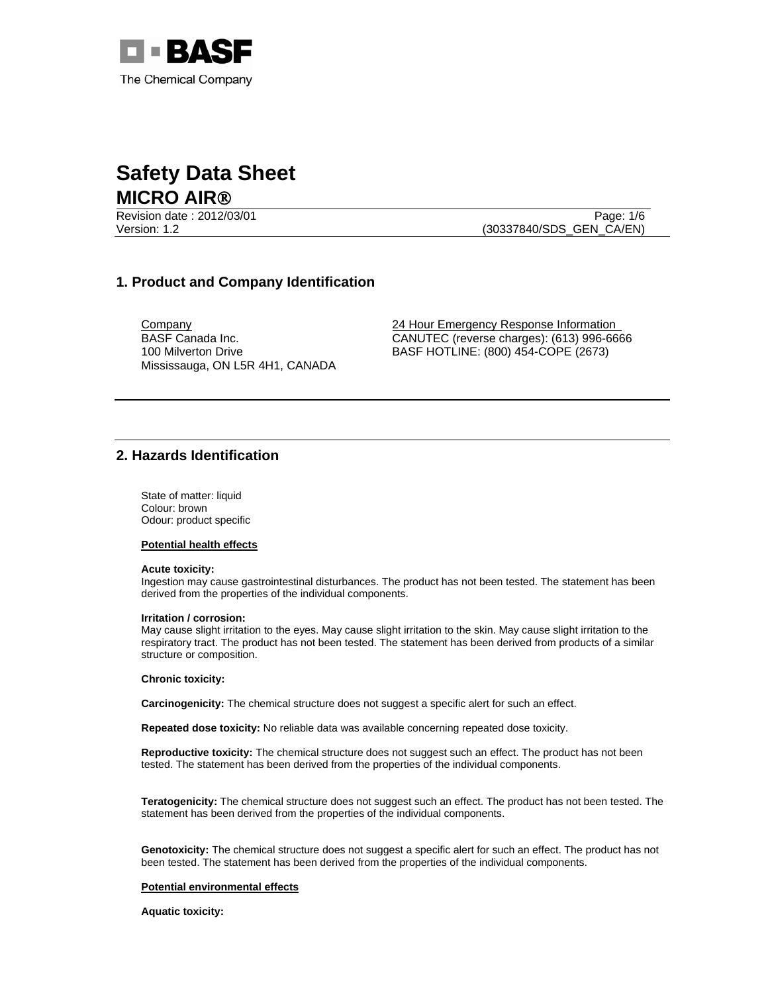

Revision date : 2012/03/01 Page: 1/6 Version: 1.2 (30337840/SDS\_GEN\_CA/EN)

# **1. Product and Company Identification**

BASF Canada Inc. 100 Milverton Drive Mississauga, ON L5R 4H1, CANADA

**Company** 24 Hour Emergency Response Information CANUTEC (reverse charges): (613) 996-6666 BASF HOTLINE: (800) 454-COPE (2673)

# **2. Hazards Identification**

State of matter: liquid Colour: brown Odour: product specific

### **Potential health effects**

#### **Acute toxicity:**

Ingestion may cause gastrointestinal disturbances. The product has not been tested. The statement has been derived from the properties of the individual components.

#### **Irritation / corrosion:**

May cause slight irritation to the eyes. May cause slight irritation to the skin. May cause slight irritation to the respiratory tract. The product has not been tested. The statement has been derived from products of a similar structure or composition.

#### **Chronic toxicity:**

**Carcinogenicity:** The chemical structure does not suggest a specific alert for such an effect.

**Repeated dose toxicity:** No reliable data was available concerning repeated dose toxicity.

**Reproductive toxicity:** The chemical structure does not suggest such an effect. The product has not been tested. The statement has been derived from the properties of the individual components.

**Teratogenicity:** The chemical structure does not suggest such an effect. The product has not been tested. The statement has been derived from the properties of the individual components.

**Genotoxicity:** The chemical structure does not suggest a specific alert for such an effect. The product has not been tested. The statement has been derived from the properties of the individual components.

#### **Potential environmental effects**

**Aquatic toxicity:**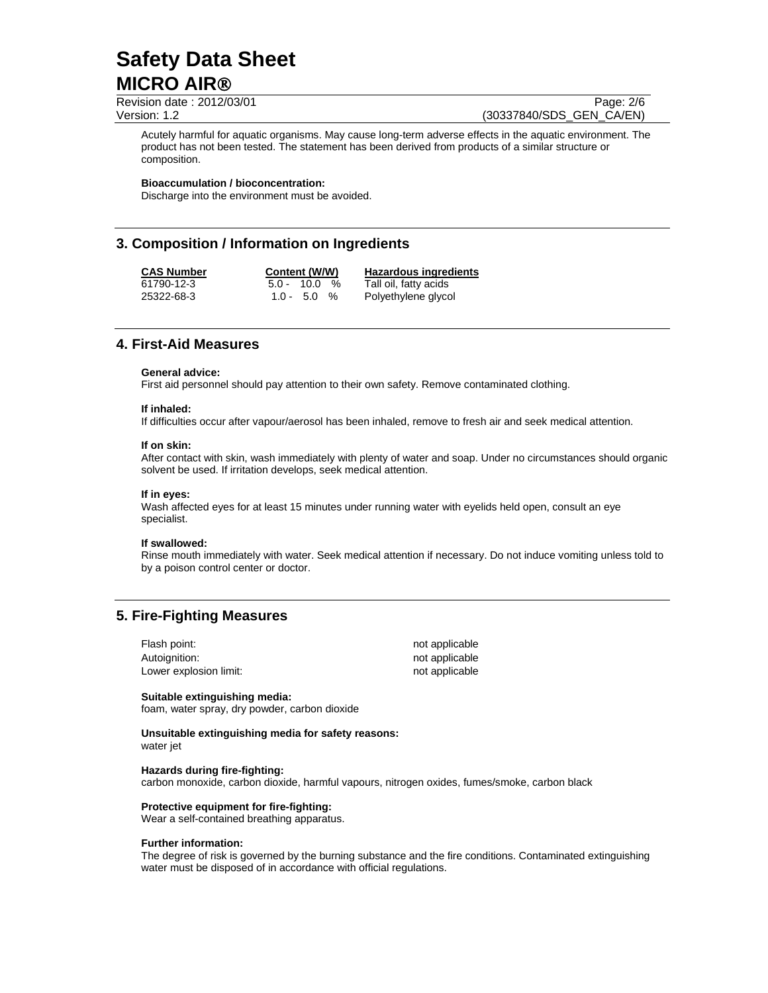Revision date : 2012/03/01 Page: 2/6 Version: 1.2 (30337840/SDS\_GEN\_CA/EN)

Acutely harmful for aquatic organisms. May cause long-term adverse effects in the aquatic environment. The product has not been tested. The statement has been derived from products of a similar structure or composition.

#### **Bioaccumulation / bioconcentration:**

Discharge into the environment must be avoided.

## **3. Composition / Information on Ingredients**

**CAS Number Content (W/W) Hazardous ingredients** 61790-12-3 5.0 - 10.0 % Tall oil, fatty acids Polyethylene glycol

## **4. First-Aid Measures**

### **General advice:**

First aid personnel should pay attention to their own safety. Remove contaminated clothing.

# **If inhaled:**

If difficulties occur after vapour/aerosol has been inhaled, remove to fresh air and seek medical attention.

#### **If on skin:**

After contact with skin, wash immediately with plenty of water and soap. Under no circumstances should organic solvent be used. If irritation develops, seek medical attention.

#### **If in eyes:**

Wash affected eyes for at least 15 minutes under running water with eyelids held open, consult an eye specialist.

#### **If swallowed:**

Rinse mouth immediately with water. Seek medical attention if necessary. Do not induce vomiting unless told to by a poison control center or doctor.

## **5. Fire-Fighting Measures**

| Flash point:           | not applicable |
|------------------------|----------------|
| Autoignition:          | not applicable |
| Lower explosion limit: | not applicable |

#### **Suitable extinguishing media:**

foam, water spray, dry powder, carbon dioxide

**Unsuitable extinguishing media for safety reasons:**  water jet

#### **Hazards during fire-fighting:**

carbon monoxide, carbon dioxide, harmful vapours, nitrogen oxides, fumes/smoke, carbon black

#### **Protective equipment for fire-fighting:**

Wear a self-contained breathing apparatus.

#### **Further information:**

The degree of risk is governed by the burning substance and the fire conditions. Contaminated extinguishing water must be disposed of in accordance with official regulations.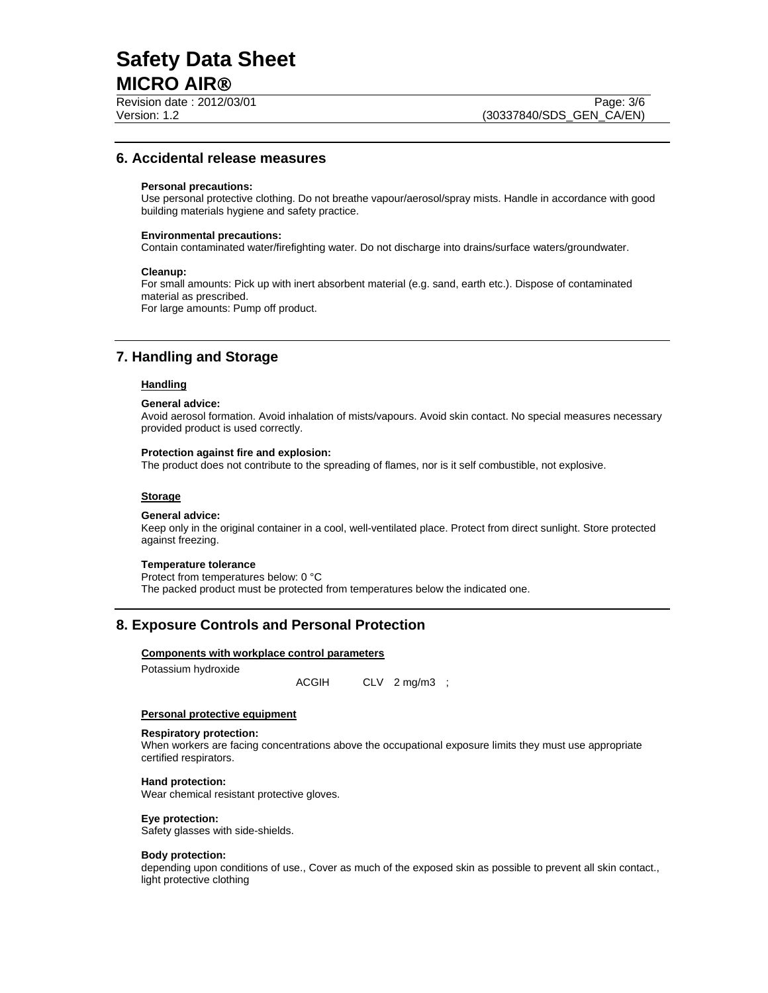Revision date : 2012/03/01 Page: 3/6

## **6. Accidental release measures**

#### **Personal precautions:**

Use personal protective clothing. Do not breathe vapour/aerosol/spray mists. Handle in accordance with good building materials hygiene and safety practice.

#### **Environmental precautions:**

Contain contaminated water/firefighting water. Do not discharge into drains/surface waters/groundwater.

#### **Cleanup:**

For small amounts: Pick up with inert absorbent material (e.g. sand, earth etc.). Dispose of contaminated material as prescribed. For large amounts: Pump off product.

## **7. Handling and Storage**

## **Handling**

#### **General advice:**

Avoid aerosol formation. Avoid inhalation of mists/vapours. Avoid skin contact. No special measures necessary provided product is used correctly.

## **Protection against fire and explosion:**

The product does not contribute to the spreading of flames, nor is it self combustible, not explosive.

## **Storage**

#### **General advice:**

Keep only in the original container in a cool, well-ventilated place. Protect from direct sunlight. Store protected against freezing.

#### **Temperature tolerance**

Protect from temperatures below: 0 °C The packed product must be protected from temperatures below the indicated one.

## **8. Exposure Controls and Personal Protection**

#### **Components with workplace control parameters**

Potassium hydroxide

ACGIH CLV 2 mg/m3 ;

#### **Personal protective equipment**

## **Respiratory protection:**

When workers are facing concentrations above the occupational exposure limits they must use appropriate certified respirators.

### **Hand protection:**

Wear chemical resistant protective gloves.

## **Eye protection:**

Safety glasses with side-shields.

### **Body protection:**

depending upon conditions of use., Cover as much of the exposed skin as possible to prevent all skin contact., light protective clothing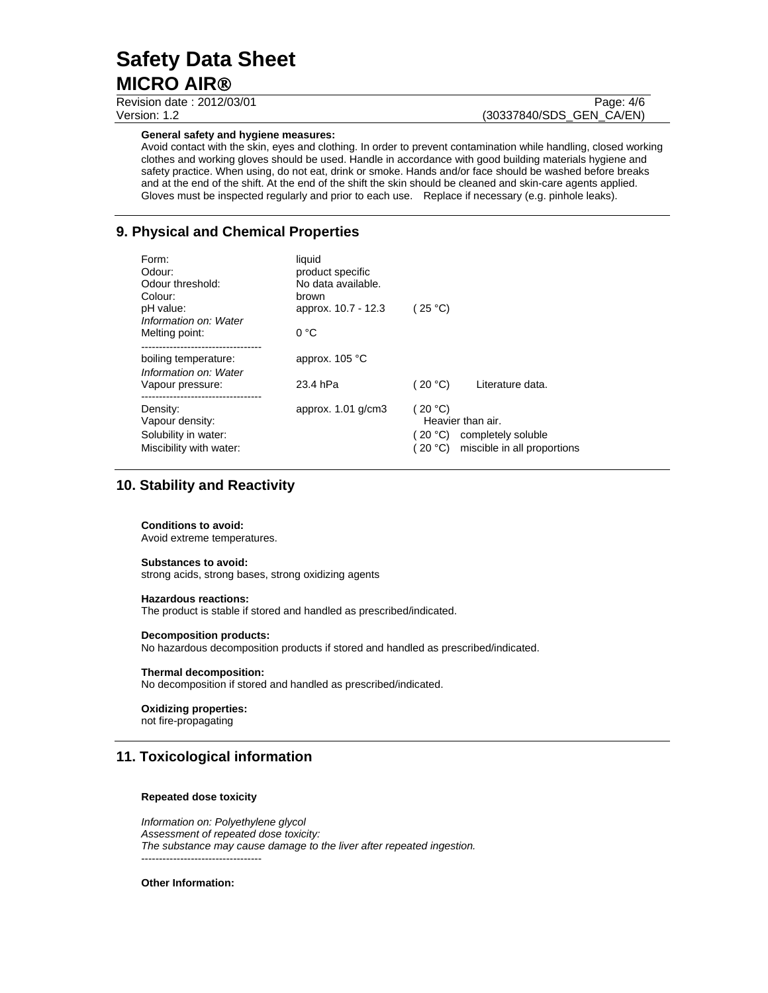Revision date : 2012/03/01 Page: 4/6

# Version: 1.2 (30337840/SDS\_GEN\_CA/EN)

#### **General safety and hygiene measures:**

Avoid contact with the skin, eyes and clothing. In order to prevent contamination while handling, closed working clothes and working gloves should be used. Handle in accordance with good building materials hygiene and safety practice. When using, do not eat, drink or smoke. Hands and/or face should be washed before breaks and at the end of the shift. At the end of the shift the skin should be cleaned and skin-care agents applied. Gloves must be inspected regularly and prior to each use. Replace if necessary (e.g. pinhole leaks).

# **9. Physical and Chemical Properties**

| Form:<br>Odour:<br>Odour threshold:<br>Colour:<br>pH value:<br>Information on: Water | liquid<br>product specific<br>No data available.<br>brown<br>approx. 10.7 - 12.3 | (25 °C)             |                                                                                |
|--------------------------------------------------------------------------------------|----------------------------------------------------------------------------------|---------------------|--------------------------------------------------------------------------------|
| Melting point:                                                                       | $0^{\circ}$ C                                                                    |                     |                                                                                |
| boiling temperature:<br>Information on: Water                                        | approx. $105 °C$                                                                 |                     |                                                                                |
| Vapour pressure:                                                                     | 23.4 hPa                                                                         | (20 °C)             | Literature data.                                                               |
| Density:<br>Vapour density:<br>Solubility in water:<br>Miscibility with water:       | approx. $1.01$ g/cm3                                                             | (20 °C)<br>(20 °C). | Heavier than air.<br>(20 °C) completely soluble<br>miscible in all proportions |

## **10. Stability and Reactivity**

#### **Conditions to avoid:**

Avoid extreme temperatures.

#### **Substances to avoid:**

strong acids, strong bases, strong oxidizing agents

#### **Hazardous reactions:**

The product is stable if stored and handled as prescribed/indicated.

#### **Decomposition products:**

No hazardous decomposition products if stored and handled as prescribed/indicated.

#### **Thermal decomposition:**

No decomposition if stored and handled as prescribed/indicated.

## **Oxidizing properties:**

not fire-propagating

## **11. Toxicological information**

#### **Repeated dose toxicity**

*Information on: Polyethylene glycol Assessment of repeated dose toxicity: The substance may cause damage to the liver after repeated ingestion.*  ----------------------------------

**Other Information:**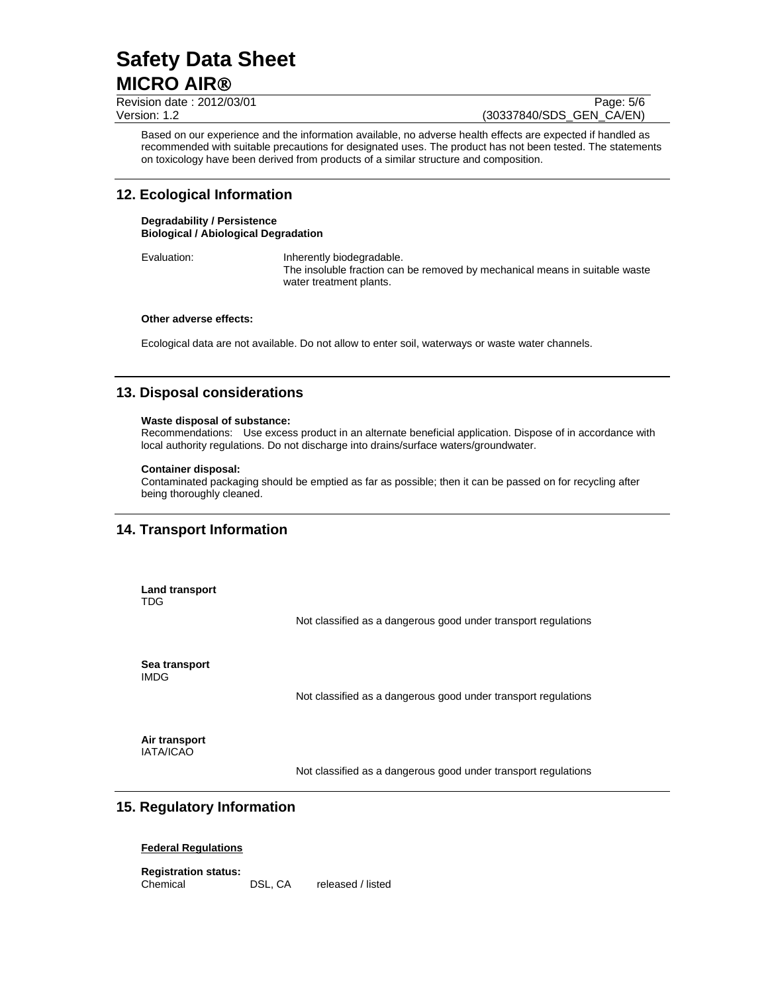Revision date : 2012/03/01 Page: 5/6 Version: 1.2 (30337840/SDS\_GEN\_CA/EN)

Based on our experience and the information available, no adverse health effects are expected if handled as recommended with suitable precautions for designated uses. The product has not been tested. The statements on toxicology have been derived from products of a similar structure and composition.

# **12. Ecological Information**

**Degradability / Persistence Biological / Abiological Degradation**

Evaluation: Inherently biodegradable. The insoluble fraction can be removed by mechanical means in suitable waste water treatment plants.

### **Other adverse effects:**

Ecological data are not available. Do not allow to enter soil, waterways or waste water channels.

# **13. Disposal considerations**

#### **Waste disposal of substance:**

Recommendations: Use excess product in an alternate beneficial application. Dispose of in accordance with local authority regulations. Do not discharge into drains/surface waters/groundwater.

#### **Container disposal:**

Contaminated packaging should be emptied as far as possible; then it can be passed on for recycling after being thoroughly cleaned.

# **14. Transport Information**

**Land transport**  TDG

Not classified as a dangerous good under transport regulations

**Sea transport**  IMDG

Not classified as a dangerous good under transport regulations

**Air transport**  IATA/ICAO

Not classified as a dangerous good under transport regulations

## **15. Regulatory Information**

## **Federal Regulations**

**Registration status:**  Chemical DSL, CA released / listed